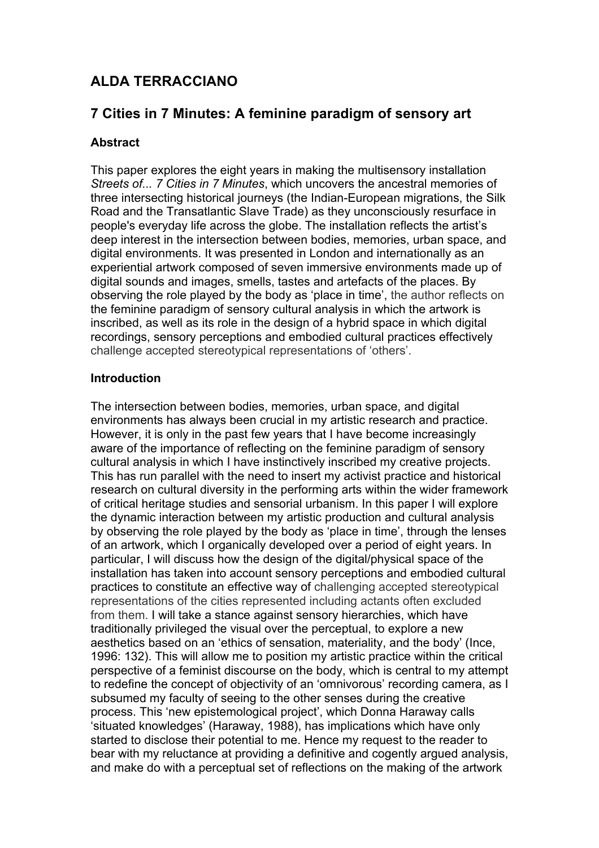# **ALDA TERRACCIANO**

# **7 Cities in 7 Minutes: A feminine paradigm of sensory art**

# **Abstract**

This paper explores the eight years in making the multisensory installation *Streets of... 7 Cities in 7 Minutes*, which uncovers the ancestral memories of three intersecting historical journeys (the Indian-European migrations, the Silk Road and the Transatlantic Slave Trade) as they unconsciously resurface in people's everyday life across the globe. The installation reflects the artist's deep interest in the intersection between bodies, memories, urban space, and digital environments. It was presented in London and internationally as an experiential artwork composed of seven immersive environments made up of digital sounds and images, smells, tastes and artefacts of the places. By observing the role played by the body as 'place in time', the author reflects on the feminine paradigm of sensory cultural analysis in which the artwork is inscribed, as well as its role in the design of a hybrid space in which digital recordings, sensory perceptions and embodied cultural practices effectively challenge accepted stereotypical representations of 'others'.

# **Introduction**

The intersection between bodies, memories, urban space, and digital environments has always been crucial in my artistic research and practice. However, it is only in the past few years that I have become increasingly aware of the importance of reflecting on the feminine paradigm of sensory cultural analysis in which I have instinctively inscribed my creative projects. This has run parallel with the need to insert my activist practice and historical research on cultural diversity in the performing arts within the wider framework of critical heritage studies and sensorial urbanism. In this paper I will explore the dynamic interaction between my artistic production and cultural analysis by observing the role played by the body as 'place in time', through the lenses of an artwork, which I organically developed over a period of eight years. In particular, I will discuss how the design of the digital/physical space of the installation has taken into account sensory perceptions and embodied cultural practices to constitute an effective way of challenging accepted stereotypical representations of the cities represented including actants often excluded from them. I will take a stance against sensory hierarchies, which have traditionally privileged the visual over the perceptual, to explore a new aesthetics based on an 'ethics of sensation, materiality, and the body' (Ince, 1996: 132). This will allow me to position my artistic practice within the critical perspective of a feminist discourse on the body, which is central to my attempt to redefine the concept of objectivity of an 'omnivorous' recording camera, as I subsumed my faculty of seeing to the other senses during the creative process. This 'new epistemological project', which Donna Haraway calls 'situated knowledges' (Haraway, 1988), has implications which have only started to disclose their potential to me. Hence my request to the reader to bear with my reluctance at providing a definitive and cogently argued analysis, and make do with a perceptual set of reflections on the making of the artwork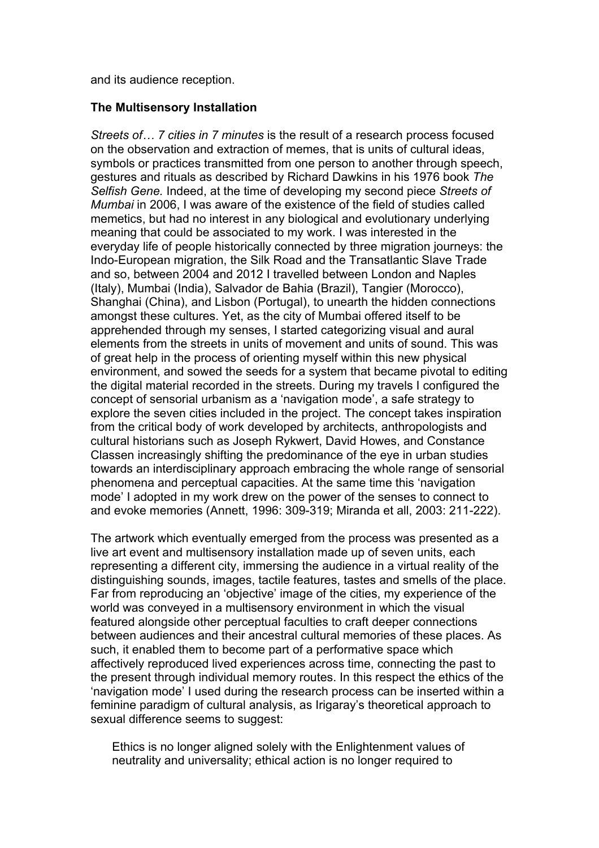and its audience reception.

### **The Multisensory Installation**

*Streets of… 7 cities in 7 minutes* is the result of a research process focused on the observation and extraction of memes, that is units of cultural ideas, symbols or practices transmitted from one person to another through speech, gestures and rituals as described by Richard Dawkins in his 1976 book *The Selfish Gene.* Indeed, at the time of developing my second piece *Streets of Mumbai* in 2006, I was aware of the existence of the field of studies called memetics, but had no interest in any biological and evolutionary underlying meaning that could be associated to my work. I was interested in the everyday life of people historically connected by three migration journeys: the Indo-European migration, the Silk Road and the Transatlantic Slave Trade and so, between 2004 and 2012 I travelled between London and Naples (Italy), Mumbai (India), Salvador de Bahia (Brazil), Tangier (Morocco), Shanghai (China), and Lisbon (Portugal), to unearth the hidden connections amongst these cultures. Yet, as the city of Mumbai offered itself to be apprehended through my senses, I started categorizing visual and aural elements from the streets in units of movement and units of sound. This was of great help in the process of orienting myself within this new physical environment, and sowed the seeds for a system that became pivotal to editing the digital material recorded in the streets. During my travels I configured the concept of sensorial urbanism as a 'navigation mode', a safe strategy to explore the seven cities included in the project. The concept takes inspiration from the critical body of work developed by architects, anthropologists and cultural historians such as Joseph Rykwert, David Howes, and Constance Classen increasingly shifting the predominance of the eye in urban studies towards an interdisciplinary approach embracing the whole range of sensorial phenomena and perceptual capacities. At the same time this 'navigation mode' I adopted in my work drew on the power of the senses to connect to and evoke memories (Annett, 1996: 309-319; Miranda et all, 2003: 211-222).

The artwork which eventually emerged from the process was presented as a live art event and multisensory installation made up of seven units, each representing a different city, immersing the audience in a virtual reality of the distinguishing sounds, images, tactile features, tastes and smells of the place. Far from reproducing an 'objective' image of the cities, my experience of the world was conveyed in a multisensory environment in which the visual featured alongside other perceptual faculties to craft deeper connections between audiences and their ancestral cultural memories of these places. As such, it enabled them to become part of a performative space which affectively reproduced lived experiences across time, connecting the past to the present through individual memory routes. In this respect the ethics of the 'navigation mode' I used during the research process can be inserted within a feminine paradigm of cultural analysis, as Irigaray's theoretical approach to sexual difference seems to suggest:

Ethics is no longer aligned solely with the Enlightenment values of neutrality and universality; ethical action is no longer required to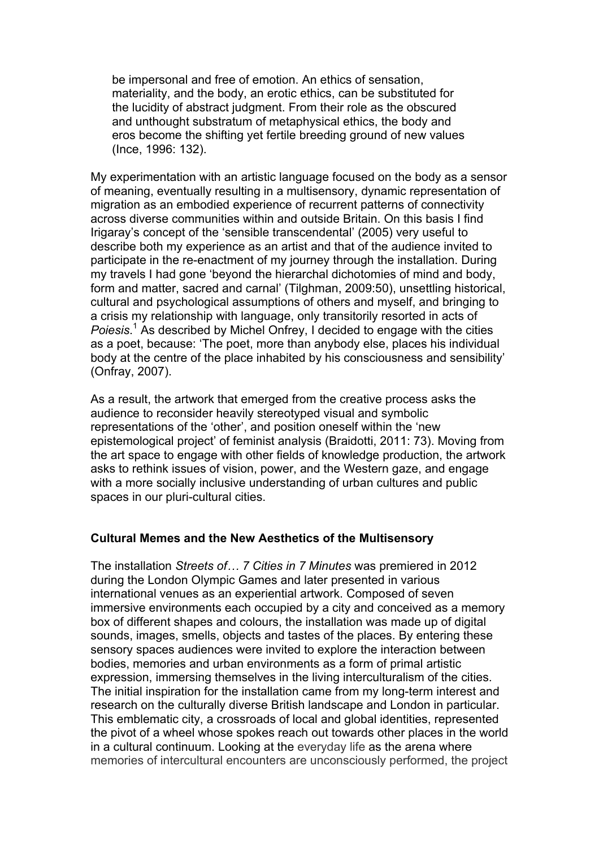be impersonal and free of emotion. An ethics of sensation, materiality, and the body, an erotic ethics, can be substituted for the lucidity of abstract judgment. From their role as the obscured and unthought substratum of metaphysical ethics, the body and eros become the shifting yet fertile breeding ground of new values (Ince, 1996: 132).

My experimentation with an artistic language focused on the body as a sensor of meaning, eventually resulting in a multisensory, dynamic representation of migration as an embodied experience of recurrent patterns of connectivity across diverse communities within and outside Britain. On this basis I find Irigaray's concept of the 'sensible transcendental' (2005) very useful to describe both my experience as an artist and that of the audience invited to participate in the re-enactment of my journey through the installation. During my travels I had gone 'beyond the hierarchal dichotomies of mind and body, form and matter, sacred and carnal' (Tilghman, 2009:50), unsettling historical, cultural and psychological assumptions of others and myself, and bringing to a crisis my relationship with language, only transitorily resorted in acts of *Poiesis*. <sup>1</sup> As described by Michel Onfrey, I decided to engage with the cities as a poet, because: 'The poet, more than anybody else, places his individual body at the centre of the place inhabited by his consciousness and sensibility' (Onfray, 2007).

As a result, the artwork that emerged from the creative process asks the audience to reconsider heavily stereotyped visual and symbolic representations of the 'other', and position oneself within the 'new epistemological project' of feminist analysis (Braidotti, 2011: 73). Moving from the art space to engage with other fields of knowledge production, the artwork asks to rethink issues of vision, power, and the Western gaze, and engage with a more socially inclusive understanding of urban cultures and public spaces in our pluri-cultural cities.

#### **Cultural Memes and the New Aesthetics of the Multisensory**

The installation *Streets of… 7 Cities in 7 Minutes* was premiered in 2012 during the London Olympic Games and later presented in various international venues as an experiential artwork. Composed of seven immersive environments each occupied by a city and conceived as a memory box of different shapes and colours, the installation was made up of digital sounds, images, smells, objects and tastes of the places. By entering these sensory spaces audiences were invited to explore the interaction between bodies, memories and urban environments as a form of primal artistic expression, immersing themselves in the living interculturalism of the cities. The initial inspiration for the installation came from my long-term interest and research on the culturally diverse British landscape and London in particular. This emblematic city, a crossroads of local and global identities, represented the pivot of a wheel whose spokes reach out towards other places in the world in a cultural continuum. Looking at the everyday life as the arena where memories of intercultural encounters are unconsciously performed, the project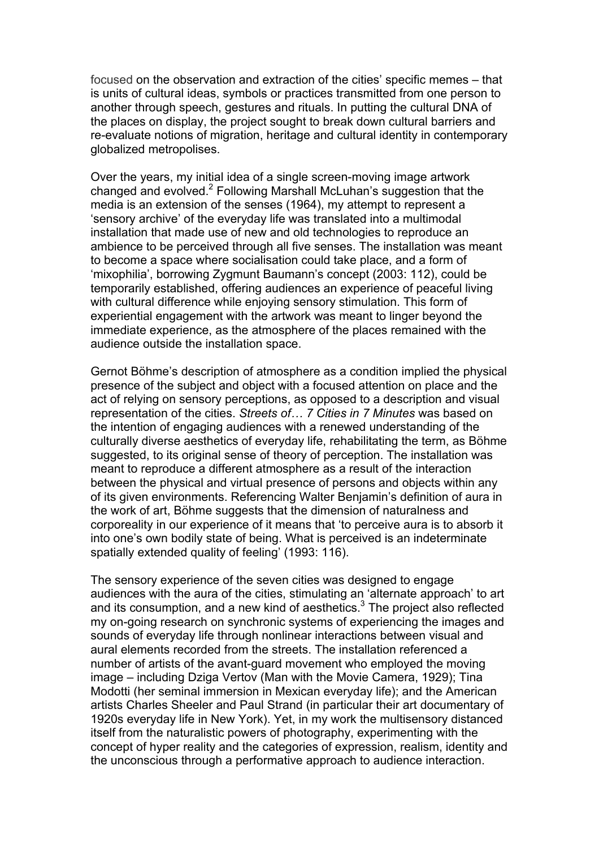focused on the observation and extraction of the cities' specific memes – that is units of cultural ideas, symbols or practices transmitted from one person to another through speech, gestures and rituals. In putting the cultural DNA of the places on display, the project sought to break down cultural barriers and re-evaluate notions of migration, heritage and cultural identity in contemporary globalized metropolises.

Over the years, my initial idea of a single screen-moving image artwork changed and evolved.2 Following Marshall McLuhan's suggestion that the media is an extension of the senses (1964), my attempt to represent a 'sensory archive' of the everyday life was translated into a multimodal installation that made use of new and old technologies to reproduce an ambience to be perceived through all five senses. The installation was meant to become a space where socialisation could take place, and a form of 'mixophilia', borrowing Zygmunt Baumann's concept (2003: 112), could be temporarily established, offering audiences an experience of peaceful living with cultural difference while enjoying sensory stimulation. This form of experiential engagement with the artwork was meant to linger beyond the immediate experience, as the atmosphere of the places remained with the audience outside the installation space.

Gernot Böhme's description of atmosphere as a condition implied the physical presence of the subject and object with a focused attention on place and the act of relying on sensory perceptions, as opposed to a description and visual representation of the cities. *Streets of… 7 Cities in 7 Minutes* was based on the intention of engaging audiences with a renewed understanding of the culturally diverse aesthetics of everyday life, rehabilitating the term, as Böhme suggested, to its original sense of theory of perception. The installation was meant to reproduce a different atmosphere as a result of the interaction between the physical and virtual presence of persons and objects within any of its given environments. Referencing Walter Benjamin's definition of aura in the work of art, Böhme suggests that the dimension of naturalness and corporeality in our experience of it means that 'to perceive aura is to absorb it into one's own bodily state of being. What is perceived is an indeterminate spatially extended quality of feeling' (1993: 116).

The sensory experience of the seven cities was designed to engage audiences with the aura of the cities, stimulating an 'alternate approach' to art and its consumption, and a new kind of aesthetics.<sup>3</sup> The project also reflected my on-going research on synchronic systems of experiencing the images and sounds of everyday life through nonlinear interactions between visual and aural elements recorded from the streets. The installation referenced a number of artists of the avant-guard movement who employed the moving image – including Dziga Vertov (Man with the Movie Camera, 1929); Tina Modotti (her seminal immersion in Mexican everyday life); and the American artists Charles Sheeler and Paul Strand (in particular their art documentary of 1920s everyday life in New York). Yet, in my work the multisensory distanced itself from the naturalistic powers of photography, experimenting with the concept of hyper reality and the categories of expression, realism, identity and the unconscious through a performative approach to audience interaction.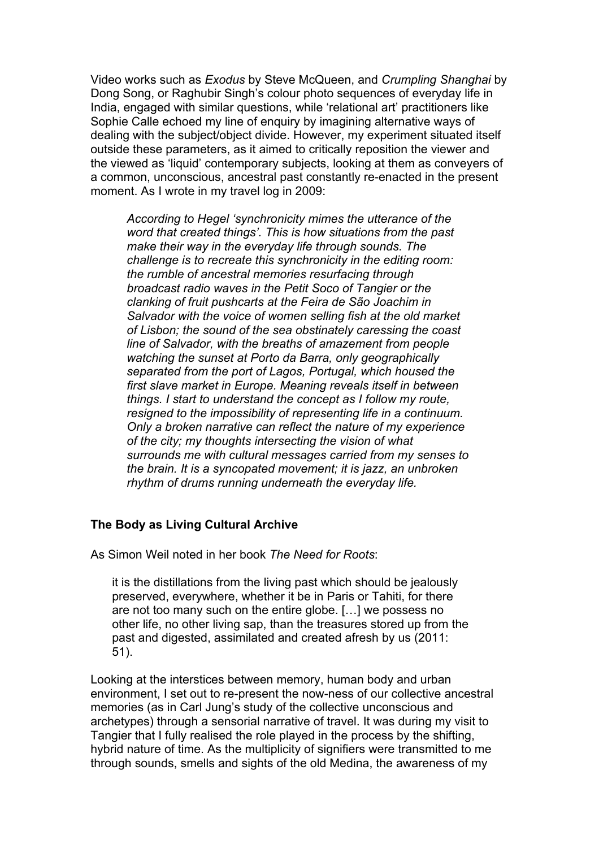Video works such as *Exodus* by Steve McQueen, and *Crumpling Shanghai* by Dong Song, or Raghubir Singh's colour photo sequences of everyday life in India, engaged with similar questions, while 'relational art' practitioners like Sophie Calle echoed my line of enquiry by imagining alternative ways of dealing with the subject/object divide. However, my experiment situated itself outside these parameters, as it aimed to critically reposition the viewer and the viewed as 'liquid' contemporary subjects, looking at them as conveyers of a common, unconscious, ancestral past constantly re-enacted in the present moment. As I wrote in my travel log in 2009:

*According to Hegel 'synchronicity mimes the utterance of the word that created things'. This is how situations from the past make their way in the everyday life through sounds. The challenge is to recreate this synchronicity in the editing room: the rumble of ancestral memories resurfacing through broadcast radio waves in the Petit Soco of Tangier or the clanking of fruit pushcarts at the Feira de São Joachim in Salvador with the voice of women selling fish at the old market of Lisbon; the sound of the sea obstinately caressing the coast line of Salvador, with the breaths of amazement from people watching the sunset at Porto da Barra, only geographically separated from the port of Lagos, Portugal, which housed the first slave market in Europe. Meaning reveals itself in between things. I start to understand the concept as I follow my route, resigned to the impossibility of representing life in a continuum. Only a broken narrative can reflect the nature of my experience of the city; my thoughts intersecting the vision of what surrounds me with cultural messages carried from my senses to the brain. It is a syncopated movement; it is jazz, an unbroken rhythm of drums running underneath the everyday life.*

# **The Body as Living Cultural Archive**

As Simon Weil noted in her book *The Need for Roots*:

it is the distillations from the living past which should be jealously preserved, everywhere, whether it be in Paris or Tahiti, for there are not too many such on the entire globe. […] we possess no other life, no other living sap, than the treasures stored up from the past and digested, assimilated and created afresh by us (2011: 51).

Looking at the interstices between memory, human body and urban environment, I set out to re-present the now-ness of our collective ancestral memories (as in Carl Jung's study of the collective unconscious and archetypes) through a sensorial narrative of travel. It was during my visit to Tangier that I fully realised the role played in the process by the shifting, hybrid nature of time. As the multiplicity of signifiers were transmitted to me through sounds, smells and sights of the old Medina, the awareness of my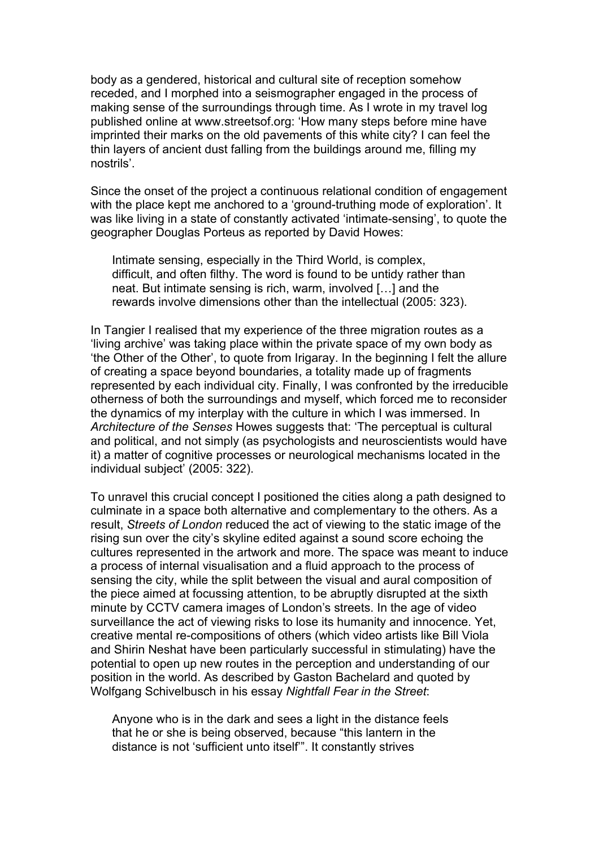body as a gendered, historical and cultural site of reception somehow receded, and I morphed into a seismographer engaged in the process of making sense of the surroundings through time. As I wrote in my travel log published online at www.streetsof.org: 'How many steps before mine have imprinted their marks on the old pavements of this white city? I can feel the thin layers of ancient dust falling from the buildings around me, filling my nostrils'.

Since the onset of the project a continuous relational condition of engagement with the place kept me anchored to a 'ground-truthing mode of exploration'. It was like living in a state of constantly activated 'intimate-sensing', to quote the geographer Douglas Porteus as reported by David Howes:

Intimate sensing, especially in the Third World, is complex, difficult, and often filthy. The word is found to be untidy rather than neat. But intimate sensing is rich, warm, involved […] and the rewards involve dimensions other than the intellectual (2005: 323).

In Tangier I realised that my experience of the three migration routes as a 'living archive' was taking place within the private space of my own body as 'the Other of the Other', to quote from Irigaray. In the beginning I felt the allure of creating a space beyond boundaries, a totality made up of fragments represented by each individual city. Finally, I was confronted by the irreducible otherness of both the surroundings and myself, which forced me to reconsider the dynamics of my interplay with the culture in which I was immersed. In *Architecture of the Senses* Howes suggests that: 'The perceptual is cultural and political, and not simply (as psychologists and neuroscientists would have it) a matter of cognitive processes or neurological mechanisms located in the individual subject' (2005: 322).

To unravel this crucial concept I positioned the cities along a path designed to culminate in a space both alternative and complementary to the others. As a result, *Streets of London* reduced the act of viewing to the static image of the rising sun over the city's skyline edited against a sound score echoing the cultures represented in the artwork and more. The space was meant to induce a process of internal visualisation and a fluid approach to the process of sensing the city, while the split between the visual and aural composition of the piece aimed at focussing attention, to be abruptly disrupted at the sixth minute by CCTV camera images of London's streets. In the age of video surveillance the act of viewing risks to lose its humanity and innocence. Yet. creative mental re-compositions of others (which video artists like Bill Viola and Shirin Neshat have been particularly successful in stimulating) have the potential to open up new routes in the perception and understanding of our position in the world. As described by Gaston Bachelard and quoted by Wolfgang Schivelbusch in his essay *Nightfall Fear in the Street*:

Anyone who is in the dark and sees a light in the distance feels that he or she is being observed, because "this lantern in the distance is not 'sufficient unto itself'". It constantly strives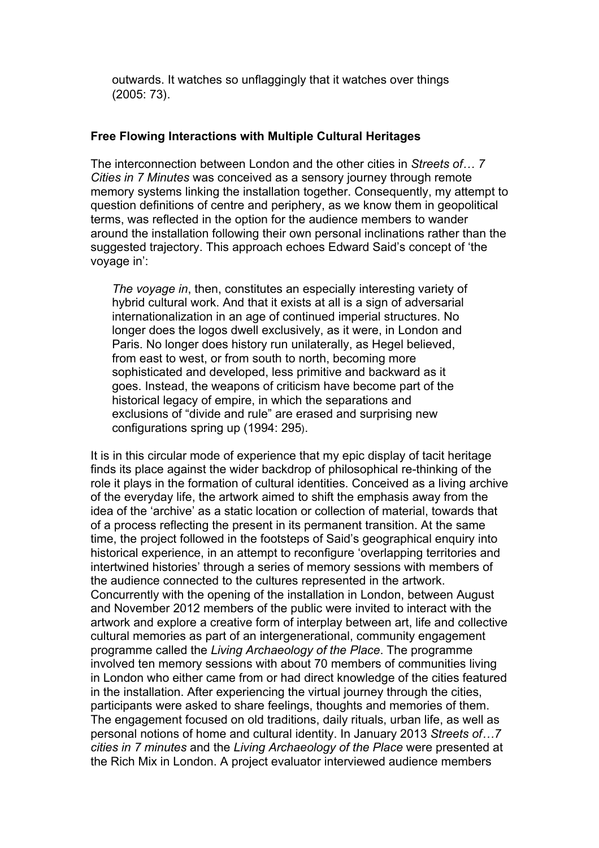outwards. It watches so unflaggingly that it watches over things (2005: 73).

### **Free Flowing Interactions with Multiple Cultural Heritages**

The interconnection between London and the other cities in *Streets of… 7 Cities in 7 Minutes* was conceived as a sensory journey through remote memory systems linking the installation together. Consequently, my attempt to question definitions of centre and periphery, as we know them in geopolitical terms, was reflected in the option for the audience members to wander around the installation following their own personal inclinations rather than the suggested trajectory. This approach echoes Edward Said's concept of 'the voyage in':

*The voyage in*, then, constitutes an especially interesting variety of hybrid cultural work. And that it exists at all is a sign of adversarial internationalization in an age of continued imperial structures. No longer does the logos dwell exclusively, as it were, in London and Paris. No longer does history run unilaterally, as Hegel believed, from east to west, or from south to north, becoming more sophisticated and developed, less primitive and backward as it goes. Instead, the weapons of criticism have become part of the historical legacy of empire, in which the separations and exclusions of "divide and rule" are erased and surprising new configurations spring up (1994: 295).

It is in this circular mode of experience that my epic display of tacit heritage finds its place against the wider backdrop of philosophical re-thinking of the role it plays in the formation of cultural identities. Conceived as a living archive of the everyday life, the artwork aimed to shift the emphasis away from the idea of the 'archive' as a static location or collection of material, towards that of a process reflecting the present in its permanent transition. At the same time, the project followed in the footsteps of Said's geographical enquiry into historical experience, in an attempt to reconfigure 'overlapping territories and intertwined histories' through a series of memory sessions with members of the audience connected to the cultures represented in the artwork. Concurrently with the opening of the installation in London, between August and November 2012 members of the public were invited to interact with the artwork and explore a creative form of interplay between art, life and collective cultural memories as part of an intergenerational, community engagement programme called the *Living Archaeology of the Place*. The programme involved ten memory sessions with about 70 members of communities living in London who either came from or had direct knowledge of the cities featured in the installation. After experiencing the virtual journey through the cities, participants were asked to share feelings, thoughts and memories of them. The engagement focused on old traditions, daily rituals, urban life, as well as personal notions of home and cultural identity. In January 2013 *Streets of…7 cities in 7 minutes* and the *Living Archaeology of the Place* were presented at the Rich Mix in London. A project evaluator interviewed audience members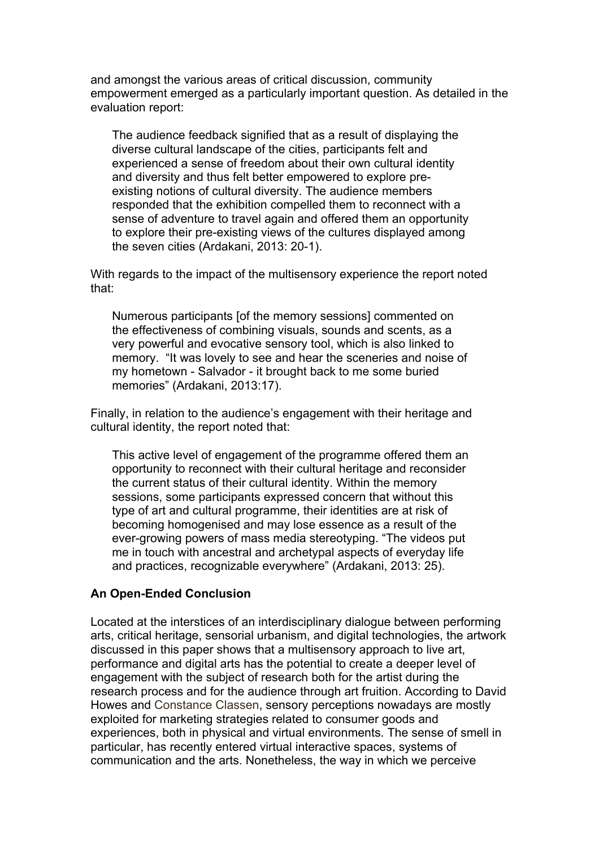and amongst the various areas of critical discussion, community empowerment emerged as a particularly important question. As detailed in the evaluation report:

The audience feedback signified that as a result of displaying the diverse cultural landscape of the cities, participants felt and experienced a sense of freedom about their own cultural identity and diversity and thus felt better empowered to explore preexisting notions of cultural diversity. The audience members responded that the exhibition compelled them to reconnect with a sense of adventure to travel again and offered them an opportunity to explore their pre-existing views of the cultures displayed among the seven cities (Ardakani, 2013: 20-1).

With regards to the impact of the multisensory experience the report noted that:

Numerous participants [of the memory sessions] commented on the effectiveness of combining visuals, sounds and scents, as a very powerful and evocative sensory tool, which is also linked to memory. "It was lovely to see and hear the sceneries and noise of my hometown - Salvador - it brought back to me some buried memories" (Ardakani, 2013:17).

Finally, in relation to the audience's engagement with their heritage and cultural identity, the report noted that:

This active level of engagement of the programme offered them an opportunity to reconnect with their cultural heritage and reconsider the current status of their cultural identity. Within the memory sessions, some participants expressed concern that without this type of art and cultural programme, their identities are at risk of becoming homogenised and may lose essence as a result of the ever-growing powers of mass media stereotyping. "The videos put me in touch with ancestral and archetypal aspects of everyday life and practices, recognizable everywhere" (Ardakani, 2013: 25).

#### **An Open-Ended Conclusion**

Located at the interstices of an interdisciplinary dialogue between performing arts, critical heritage, sensorial urbanism, and digital technologies, the artwork discussed in this paper shows that a multisensory approach to live art, performance and digital arts has the potential to create a deeper level of engagement with the subject of research both for the artist during the research process and for the audience through art fruition. According to David Howes and Constance Classen, sensory perceptions nowadays are mostly exploited for marketing strategies related to consumer goods and experiences, both in physical and virtual environments. The sense of smell in particular, has recently entered virtual interactive spaces, systems of communication and the arts. Nonetheless, the way in which we perceive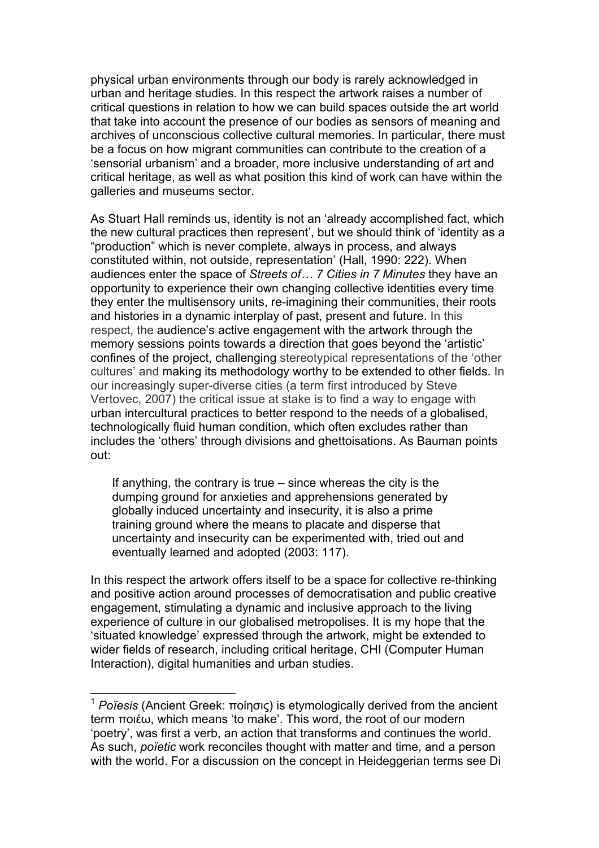physical urban environments through our body is rarely acknowledged in urban and heritage studies. In this respect the artwork raises a number of critical questions in relation to how we can build spaces outside the art world that take into account the presence of our bodies as sensors of meaning and archives of unconscious collective cultural memories. In particular, there must be a focus on how migrant communities can contribute to the creation of a 'sensorial urbanism' and a broader, more inclusive understanding of art and critical heritage, as well as what position this kind of work can have within the galleries and museums sector.

As Stuart Hall reminds us, identity is not an 'already accomplished fact, which the new cultural practices then represent', but we should think of 'identity as a "production" which is never complete, always in process, and always constituted within, not outside, representation' (Hall, 1990: 222). When audiences enter the space of *Streets of… 7 Cities in 7 Minutes* they have an opportunity to experience their own changing collective identities every time they enter the multisensory units, re-imagining their communities, their roots and histories in a dynamic interplay of past, present and future. In this respect, the audience's active engagement with the artwork through the memory sessions points towards a direction that goes beyond the 'artistic' confines of the project, challenging stereotypical representations of the 'other cultures' and making its methodology worthy to be extended to other fields. In our increasingly super-diverse cities (a term first introduced by Steve Vertovec, 2007) the critical issue at stake is to find a way to engage with urban intercultural practices to better respond to the needs of a globalised, technologically fluid human condition, which often excludes rather than includes the 'others' through divisions and ghettoisations. As Bauman points out:

If anything, the contrary is true – since whereas the city is the dumping ground for anxieties and apprehensions generated by globally induced uncertainty and insecurity, it is also a prime training ground where the means to placate and disperse that uncertainty and insecurity can be experimented with, tried out and eventually learned and adopted (2003: 117).

In this respect the artwork offers itself to be a space for collective re-thinking and positive action around processes of democratisation and public creative engagement, stimulating a dynamic and inclusive approach to the living experience of culture in our globalised metropolises. It is my hope that the 'situated knowledge' expressed through the artwork, might be extended to wider fields of research, including critical heritage, CHI (Computer Human Interaction), digital humanities and urban studies.

 <sup>1</sup> *Poïesis* (Ancient Greek: ποίησις) is etymologically derived from the ancient term ποιέω, which means 'to make'. This word, the root of our modern 'poetry', was first a verb, an action that transforms and continues the world. As such, *poïetic* work reconciles thought with matter and time, and a person with the world. For a discussion on the concept in Heideggerian terms see Di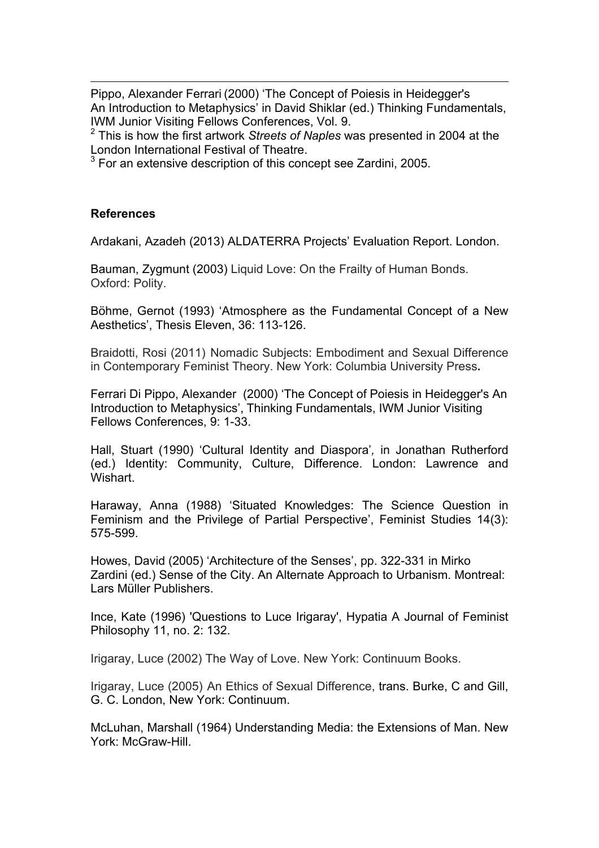<u> 1989 - Andrea Santa Alemania, poeta esperanto-se especial de la propia de la propia de la propia de la propia</u> Pippo, Alexander Ferrari (2000) 'The Concept of Poiesis in Heidegger's An Introduction to Metaphysics' in David Shiklar (ed.) Thinking Fundamentals, IWM Junior Visiting Fellows Conferences, Vol. 9.<br><sup>2</sup> This is how the first artwork *Streets of Naples* was presented in 2004 at the

London International Festival of Theatre.

 $3$  For an extensive description of this concept see Zardini, 2005.

#### **References**

Ardakani, Azadeh (2013) ALDATERRA Projects' Evaluation Report. London.

Bauman, Zygmunt (2003) Liquid Love: On the Frailty of Human Bonds. Oxford: Polity.

Böhme, Gernot (1993) 'Atmosphere as the Fundamental Concept of a New Aesthetics', Thesis Eleven, 36: 113-126.

Braidotti, Rosi (2011) Nomadic Subjects: Embodiment and Sexual Difference in Contemporary Feminist Theory. New York: Columbia University Press**.**

Ferrari Di Pippo, Alexander (2000) 'The Concept of Poiesis in Heidegger's An Introduction to Metaphysics', Thinking Fundamentals, IWM Junior Visiting Fellows Conferences, 9: 1-33.

Hall, Stuart (1990) 'Cultural Identity and Diaspora'*,* in Jonathan Rutherford (ed.) Identity: Community, Culture, Difference. London: Lawrence and Wishart.

Haraway, Anna (1988) 'Situated Knowledges: The Science Question in Feminism and the Privilege of Partial Perspective', Feminist Studies 14(3): 575-599.

Howes, David (2005) 'Architecture of the Senses', pp. 322-331 in Mirko Zardini (ed.) Sense of the City. An Alternate Approach to Urbanism. Montreal: Lars Müller Publishers.

Ince, Kate (1996) 'Questions to Luce Irigaray', Hypatia A Journal of Feminist Philosophy 11, no. 2: 132.

Irigaray, Luce (2002) The Way of Love. New York: Continuum Books.

Irigaray, Luce (2005) An Ethics of Sexual Difference, trans. Burke, C and Gill, G. C. London, New York: Continuum.

McLuhan, Marshall (1964) Understanding Media: the Extensions of Man. New York: McGraw-Hill.